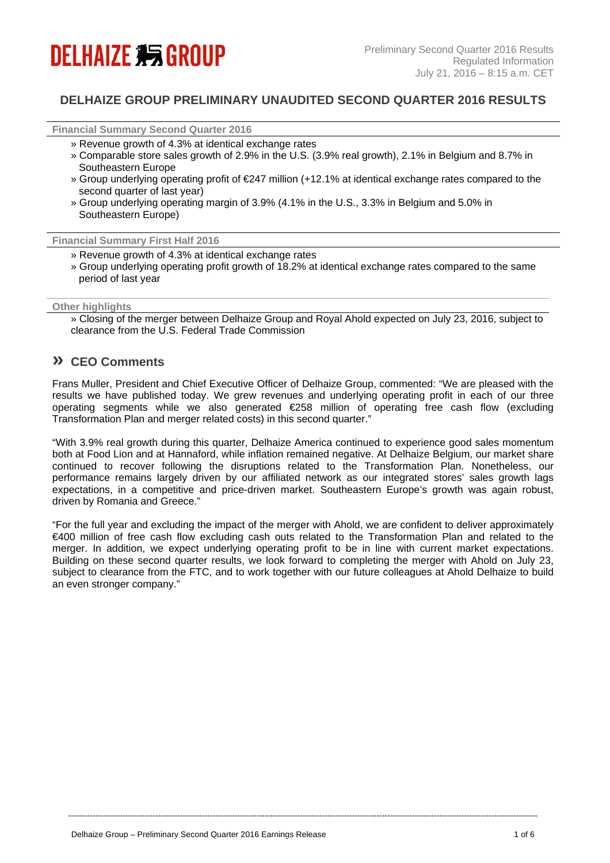# **DELHAIZE 编 GROUP**

# **DELHAIZE GROUP PRELIMINARY UNAUDITED SECOND QUARTER 2016 RESULTS**

**Financial Summary Second Quarter 2016**

- » Revenue growth of 4.3% at identical exchange rates
- » Comparable store sales growth of 2.9% in the U.S. (3.9% real growth), 2.1% in Belgium and 8.7% in Southeastern Europe
- » Group underlying operating profit of €247 million (+12.1% at identical exchange rates compared to the second quarter of last year)
- » Group underlying operating margin of 3.9% (4.1% in the U.S., 3.3% in Belgium and 5.0% in Southeastern Europe)

**Financial Summary First Half 2016** 

- » Revenue growth of 4.3% at identical exchange rates
- » Group underlying operating profit growth of 18.2% at identical exchange rates compared to the same period of last year

#### **Other highlights**

» Closing of the merger between Delhaize Group and Royal Ahold expected on July 23, 2016, subject to clearance from the U.S. Federal Trade Commission

# **» CEO Comments**

Frans Muller, President and Chief Executive Officer of Delhaize Group, commented: "We are pleased with the results we have published today. We grew revenues and underlying operating profit in each of our three operating segments while we also generated €258 million of operating free cash flow (excluding Transformation Plan and merger related costs) in this second quarter."

"With 3.9% real growth during this quarter, Delhaize America continued to experience good sales momentum both at Food Lion and at Hannaford, while inflation remained negative. At Delhaize Belgium, our market share continued to recover following the disruptions related to the Transformation Plan. Nonetheless, our performance remains largely driven by our affiliated network as our integrated stores' sales growth lags expectations, in a competitive and price-driven market. Southeastern Europe's growth was again robust, driven by Romania and Greece."

"For the full year and excluding the impact of the merger with Ahold, we are confident to deliver approximately €400 million of free cash flow excluding cash outs related to the Transformation Plan and related to the merger. In addition, we expect underlying operating profit to be in line with current market expectations. Building on these second quarter results, we look forward to completing the merger with Ahold on July 23, subject to clearance from the FTC, and to work together with our future colleagues at Ahold Delhaize to build an even stronger company."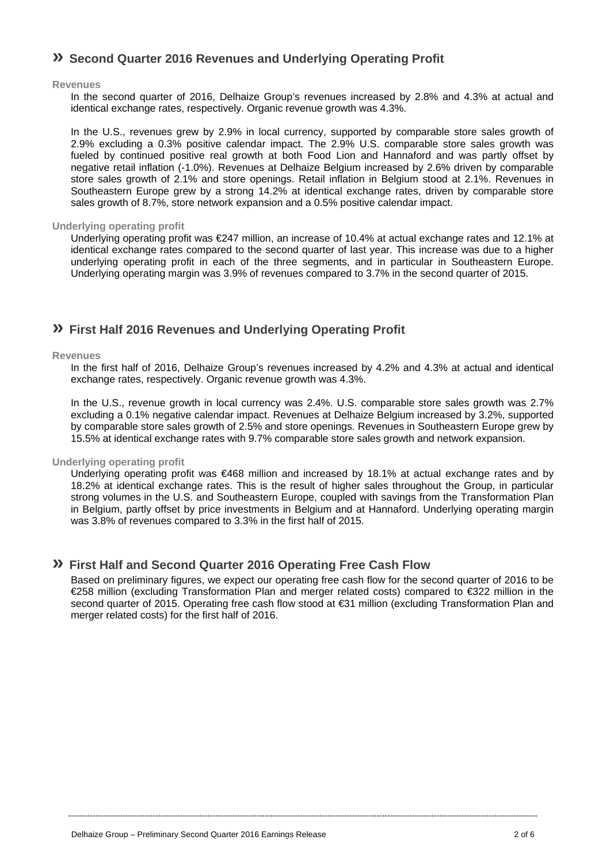# **» Second Quarter 2016 Revenues and Underlying Operating Profit**

#### **Revenues**

In the second quarter of 2016, Delhaize Group's revenues increased by 2.8% and 4.3% at actual and identical exchange rates, respectively. Organic revenue growth was 4.3%.

In the U.S., revenues grew by 2.9% in local currency, supported by comparable store sales growth of 2.9% excluding a 0.3% positive calendar impact. The 2.9% U.S. comparable store sales growth was fueled by continued positive real growth at both Food Lion and Hannaford and was partly offset by negative retail inflation (-1.0%). Revenues at Delhaize Belgium increased by 2.6% driven by comparable store sales growth of 2.1% and store openings. Retail inflation in Belgium stood at 2.1%. Revenues in Southeastern Europe grew by a strong 14.2% at identical exchange rates, driven by comparable store sales growth of 8.7%, store network expansion and a 0.5% positive calendar impact.

#### **Underlying operating profit**

Underlying operating profit was €247 million, an increase of 10.4% at actual exchange rates and 12.1% at identical exchange rates compared to the second quarter of last year. This increase was due to a higher underlying operating profit in each of the three segments, and in particular in Southeastern Europe. Underlying operating margin was 3.9% of revenues compared to 3.7% in the second quarter of 2015.

# **» First Half 2016 Revenues and Underlying Operating Profit**

#### **Revenues**

In the first half of 2016, Delhaize Group's revenues increased by 4.2% and 4.3% at actual and identical exchange rates, respectively. Organic revenue growth was 4.3%.

In the U.S., revenue growth in local currency was 2.4%. U.S. comparable store sales growth was 2.7% excluding a 0.1% negative calendar impact. Revenues at Delhaize Belgium increased by 3.2%, supported by comparable store sales growth of 2.5% and store openings. Revenues in Southeastern Europe grew by 15.5% at identical exchange rates with 9.7% comparable store sales growth and network expansion.

#### **Underlying operating profit**

Underlying operating profit was €468 million and increased by 18.1% at actual exchange rates and by 18.2% at identical exchange rates. This is the result of higher sales throughout the Group, in particular strong volumes in the U.S. and Southeastern Europe, coupled with savings from the Transformation Plan in Belgium, partly offset by price investments in Belgium and at Hannaford. Underlying operating margin was 3.8% of revenues compared to 3.3% in the first half of 2015.

# **» First Half and Second Quarter 2016 Operating Free Cash Flow**

Based on preliminary figures, we expect our operating free cash flow for the second quarter of 2016 to be €258 million (excluding Transformation Plan and merger related costs) compared to €322 million in the second quarter of 2015. Operating free cash flow stood at €31 million (excluding Transformation Plan and merger related costs) for the first half of 2016.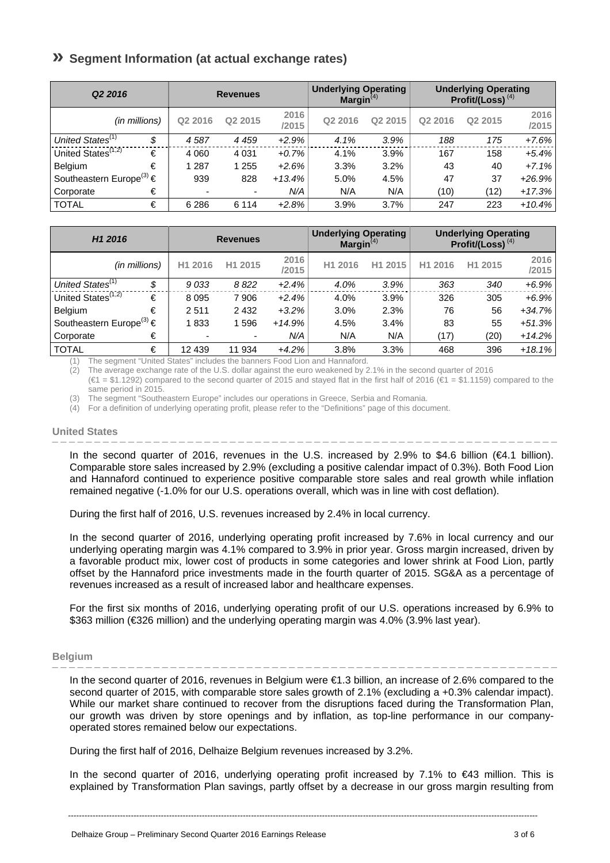# **» Segment Information (at actual exchange rates)**

| Q <sub>2</sub> 2016                      | <b>Revenues</b> |                     |               | <b>Underlying Operating</b><br>Margin $(4)$ |                     | <b>Underlying Operating</b><br>Profit/(Loss) $(4)$ |                     |               |
|------------------------------------------|-----------------|---------------------|---------------|---------------------------------------------|---------------------|----------------------------------------------------|---------------------|---------------|
| (in millions)                            | Q2 2016         | Q <sub>2</sub> 2015 | 2016<br>/2015 | Q <sub>2</sub> 2016                         | Q <sub>2</sub> 2015 | Q2 2016                                            | Q <sub>2</sub> 2015 | 2016<br>/2015 |
| United States <sup>(1)</sup><br>\$       | 4587            | 4 4 5 9             | $+2.9%$       | 4.1%                                        | 3.9%                | 188                                                | 175                 | $+7.6%$       |
| United States <sup>(1,2)</sup><br>€      | 4 0 6 0         | 4 0 31              | $+0.7%$       | 4.1%                                        | 3.9%                | 167                                                | 158                 | $+5.4%$       |
| €<br><b>Belgium</b>                      | 287             | 1 255               | $+2.6%$       | 3.3%                                        | 3.2%                | 43                                                 | 40                  | $+7.1%$       |
| Southeastern Europe <sup>(3)</sup> $\in$ | 939             | 828                 | $+13.4%$      | 5.0%                                        | 4.5%                | 47                                                 | 37                  | $+26.9%$      |
| €<br>Corporate                           |                 | ۰                   | N/A           | N/A                                         | N/A                 | (10)                                               | (12)                | $+17.3%$      |
| <b>TOTAL</b><br>€                        | 6 2 8 6         | 6 1 1 4             | $+2.8%$       | 3.9%                                        | 3.7%                | 247                                                | 223                 | $+10.4%$      |

| H <sub>1</sub> 2016                      |    | <b>Revenues</b> |                     |               | <b>Underlying Operating</b><br>Margin $(4)$ |                     | <b>Underlying Operating</b><br>Profit/(Loss) $(4)$ |                     |               |
|------------------------------------------|----|-----------------|---------------------|---------------|---------------------------------------------|---------------------|----------------------------------------------------|---------------------|---------------|
| (in millions)                            |    | H1 2016         | H <sub>1</sub> 2015 | 2016<br>/2015 | H1 2016                                     | H <sub>1</sub> 2015 | H1 2016                                            | H <sub>1</sub> 2015 | 2016<br>/2015 |
| United States <sup>(1)</sup>             | \$ | 9033            | 8822                | $+2.4%$       | 4.0%                                        | 3.9%                | 363                                                | 340                 | $+6.9%$       |
| United States <sup>(1,2)</sup>           | €  | 8 0 9 5         | 7906                | $+2.4%$       | 4.0%                                        | 3.9%                | 326                                                | 305                 | $+6.9\%$      |
| <b>Belgium</b>                           | €  | 2511            | 2 4 3 2             | $+3.2%$       | 3.0%                                        | 2.3%                | 76                                                 | 56                  | $+34.7\%$     |
| Southeastern Europe <sup>(3)</sup> $\in$ |    | 1833            | 596                 | $+14.9%$      | 4.5%                                        | 3.4%                | 83                                                 | 55                  | $+51.3%$      |
| Corporate                                | €  | -               | ۰                   | N/A           | N/A                                         | N/A                 | (17)                                               | (20)                | $+14.2%$      |
| <b>TOTAL</b>                             | €  | 12 439          | 11 934              | $+4.2%$       | 3.8%                                        | 3.3%                | 468                                                | 396                 | $+18.1%$      |

The segment "United States" includes the banners Food Lion and Hannaford.

(2) The average exchange rate of the U.S. dollar against the euro weakened by 2.1% in the second quarter of 2016

 $(€1 = $1.1292)$  compared to the second quarter of 2015 and stayed flat in the first half of 2016 (€1 = \$1.1159) compared to the same period in 2015.

(3) The segment "Southeastern Europe" includes our operations in Greece, Serbia and Romania.

(4) For a definition of underlying operating profit, please refer to the "Definitions" page of this document.

#### **United States**

In the second quarter of 2016, revenues in the U.S. increased by 2.9% to \$4.6 billion (€4.1 billion). Comparable store sales increased by 2.9% (excluding a positive calendar impact of 0.3%). Both Food Lion and Hannaford continued to experience positive comparable store sales and real growth while inflation remained negative (-1.0% for our U.S. operations overall, which was in line with cost deflation).

During the first half of 2016, U.S. revenues increased by 2.4% in local currency.

In the second quarter of 2016, underlying operating profit increased by 7.6% in local currency and our underlying operating margin was 4.1% compared to 3.9% in prior year. Gross margin increased, driven by a favorable product mix, lower cost of products in some categories and lower shrink at Food Lion, partly offset by the Hannaford price investments made in the fourth quarter of 2015. SG&A as a percentage of revenues increased as a result of increased labor and healthcare expenses.

For the first six months of 2016, underlying operating profit of our U.S. operations increased by 6.9% to \$363 million (€326 million) and the underlying operating margin was 4.0% (3.9% last year).

#### **Belgium**

In the second quarter of 2016, revenues in Belgium were €1.3 billion, an increase of 2.6% compared to the second quarter of 2015, with comparable store sales growth of 2.1% (excluding a +0.3% calendar impact). While our market share continued to recover from the disruptions faced during the Transformation Plan, our growth was driven by store openings and by inflation, as top-line performance in our company-

During the first half of 2016, Delhaize Belgium revenues increased by 3.2%.

In the second quarter of 2016, underlying operating profit increased by 7.1% to €43 million. This is explained by Transformation Plan savings, partly offset by a decrease in our gross margin resulting from

----------------------------------------------------------------------------------------------------------------------------------------------------------------------------

operated stores remained below our expectations.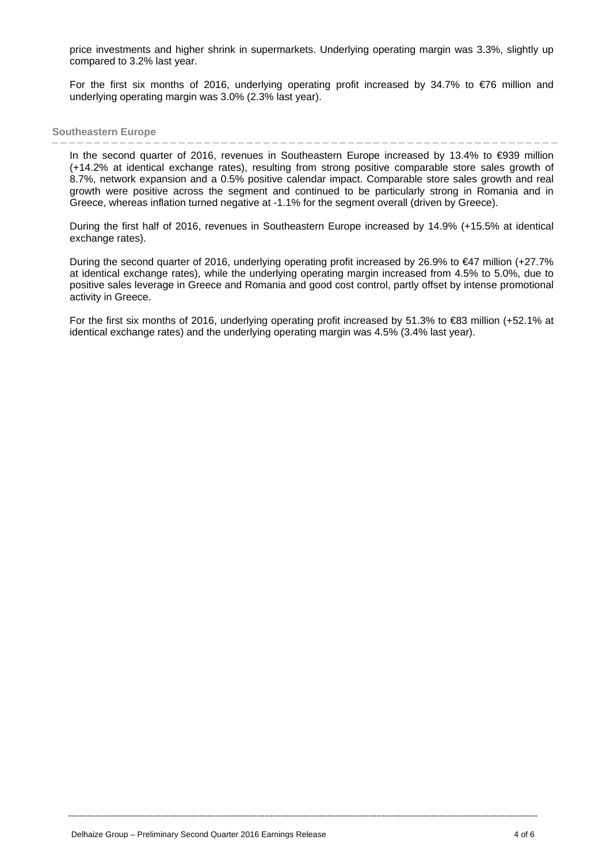price investments and higher shrink in supermarkets. Underlying operating margin was 3.3%, slightly up compared to 3.2% last year.

For the first six months of 2016, underlying operating profit increased by 34.7% to  $\epsilon$ 76 million and underlying operating margin was 3.0% (2.3% last year).

#### **Southeastern Europe**  - - - - - - - -

In the second quarter of 2016, revenues in Southeastern Europe increased by 13.4% to €939 million (+14.2% at identical exchange rates), resulting from strong positive comparable store sales growth of 8.7%, network expansion and a 0.5% positive calendar impact. Comparable store sales growth and real growth were positive across the segment and continued to be particularly strong in Romania and in Greece, whereas inflation turned negative at -1.1% for the segment overall (driven by Greece).

During the first half of 2016, revenues in Southeastern Europe increased by 14.9% (+15.5% at identical exchange rates).

During the second quarter of 2016, underlying operating profit increased by 26.9% to €47 million (+27.7% at identical exchange rates), while the underlying operating margin increased from 4.5% to 5.0%, due to positive sales leverage in Greece and Romania and good cost control, partly offset by intense promotional activity in Greece.

For the first six months of 2016, underlying operating profit increased by 51.3% to €83 million (+52.1% at identical exchange rates) and the underlying operating margin was 4.5% (3.4% last year).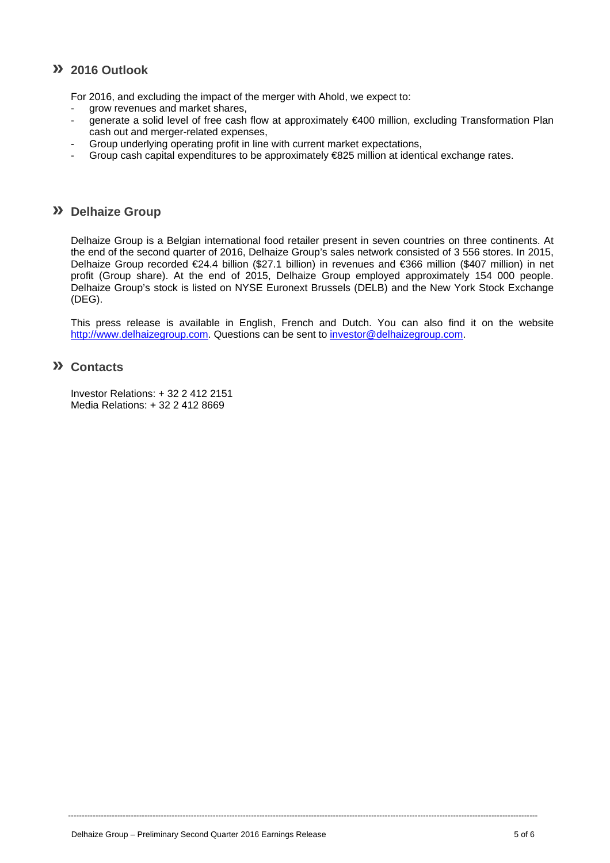# **» 2016 Outlook**

For 2016, and excluding the impact of the merger with Ahold, we expect to:

- grow revenues and market shares,
- generate a solid level of free cash flow at approximately €400 million, excluding Transformation Plan cash out and merger-related expenses,
- Group underlying operating profit in line with current market expectations,
- Group cash capital expenditures to be approximately  $E$ 825 million at identical exchange rates.

#### **» Delhaize Group**

Delhaize Group is a Belgian international food retailer present in seven countries on three continents. At the end of the second quarter of 2016, Delhaize Group's sales network consisted of 3 556 stores. In 2015, Delhaize Group recorded €24.4 billion (\$27.1 billion) in revenues and €366 million (\$407 million) in net profit (Group share). At the end of 2015, Delhaize Group employed approximately 154 000 people. Delhaize Group's stock is listed on NYSE Euronext Brussels (DELB) and the New York Stock Exchange (DEG).

This press release is available in English, French and Dutch. You can also find it on the website http://www.delhaizegroup.com. Questions can be sent to investor@delhaizegroup.com.

----------------------------------------------------------------------------------------------------------------------------------------------------------------------------

# **» Contacts**

Investor Relations: + 32 2 412 2151 Media Relations: + 32 2 412 8669